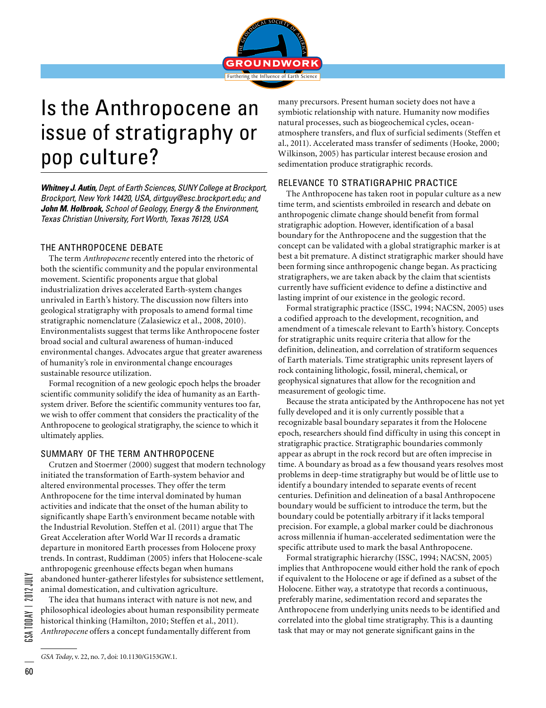

## Is the Anthropocene an issue of stratigraphy or pop culture?

*Whitney J. Autin, Dept. of Earth Sciences, SUNY College at Brockport, Brockport, New York 14420, USA, dirtguy@esc.brockport.edu; and John M. Holbrook, School of Geology, Energy & the Environment, Texas Christian University, Fort Worth, Texas 76129, USA*

### THE ANTHROPOCENE DEBATE

The term *Anthropocene* recently entered into the rhetoric of both the scientific community and the popular environmental movement. Scientific proponents argue that global industrialization drives accelerated Earth-system changes unrivaled in Earth's history. The discussion now filters into geological stratigraphy with proposals to amend formal time stratigraphic nomenclature (Zalasiewicz et al., 2008, 2010). Environmentalists suggest that terms like Anthropocene foster broad social and cultural awareness of human-induced environmental changes. Advocates argue that greater awareness of humanity's role in environmental change encourages sustainable resource utilization.

Formal recognition of a new geologic epoch helps the broader scientific community solidify the idea of humanity as an Earthsystem driver. Before the scientific community ventures too far, we wish to offer comment that considers the practicality of the Anthropocene to geological stratigraphy, the science to which it ultimately applies.

### SUMMARY OF THE TERM ANTHROPOCENE

Crutzen and Stoermer (2000) suggest that modern technology initiated the transformation of Earth-system behavior and altered environmental processes. They offer the term Anthropocene for the time interval dominated by human activities and indicate that the onset of the human ability to significantly shape Earth's environment became notable with the Industrial Revolution. Steffen et al. (2011) argue that The Great Acceleration after World War II records a dramatic departure in monitored Earth processes from Holocene proxy trends. In contrast, Ruddiman (2005) infers that Holocene-scale anthropogenic greenhouse effects began when humans abandoned hunter-gatherer lifestyles for subsistence settlement, animal domestication, and cultivation agriculture.

The idea that humans interact with nature is not new, and philosophical ideologies about human responsibility permeate historical thinking (Hamilton, 2010; Steffen et al., 2011). *Anthropocene* offers a concept fundamentally different from

many precursors. Present human society does not have a symbiotic relationship with nature. Humanity now modifies natural processes, such as biogeochemical cycles, oceanatmosphere transfers, and flux of surficial sediments (Steffen et al., 2011). Accelerated mass transfer of sediments (Hooke, 2000; Wilkinson, 2005) has particular interest because erosion and sedimentation produce stratigraphic records.

### RELEVANCE TO STRATIGRAPHIC PRACTICE

The Anthropocene has taken root in popular culture as a new time term, and scientists embroiled in research and debate on anthropogenic climate change should benefit from formal stratigraphic adoption. However, identification of a basal boundary for the Anthropocene and the suggestion that the concept can be validated with a global stratigraphic marker is at best a bit premature. A distinct stratigraphic marker should have been forming since anthropogenic change began. As practicing stratigraphers, we are taken aback by the claim that scientists currently have sufficient evidence to define a distinctive and lasting imprint of our existence in the geologic record.

Formal stratigraphic practice (ISSC, 1994; NACSN, 2005) uses a codified approach to the development, recognition, and amendment of a timescale relevant to Earth's history. Concepts for stratigraphic units require criteria that allow for the definition, delineation, and correlation of stratiform sequences of Earth materials. Time stratigraphic units represent layers of rock containing lithologic, fossil, mineral, chemical, or geophysical signatures that allow for the recognition and measurement of geologic time.

Because the strata anticipated by the Anthropocene has not yet fully developed and it is only currently possible that a recognizable basal boundary separates it from the Holocene epoch, researchers should find difficulty in using this concept in stratigraphic practice. Stratigraphic boundaries commonly appear as abrupt in the rock record but are often imprecise in time. A boundary as broad as a few thousand years resolves most problems in deep-time stratigraphy but would be of little use to identify a boundary intended to separate events of recent centuries. Definition and delineation of a basal Anthropocene boundary would be sufficient to introduce the term, but the boundary could be potentially arbitrary if it lacks temporal precision. For example, a global marker could be diachronous across millennia if human-accelerated sedimentation were the specific attribute used to mark the basal Anthropocene.

Formal stratigraphic hierarchy (ISSC, 1994; NACSN, 2005) implies that Anthropocene would either hold the rank of epoch if equivalent to the Holocene or age if defined as a subset of the Holocene. Either way, a stratotype that records a continuous, preferably marine, sedimentation record and separates the Anthropocene from underlying units needs to be identified and correlated into the global time stratigraphy. This is a daunting task that may or may not generate significant gains in the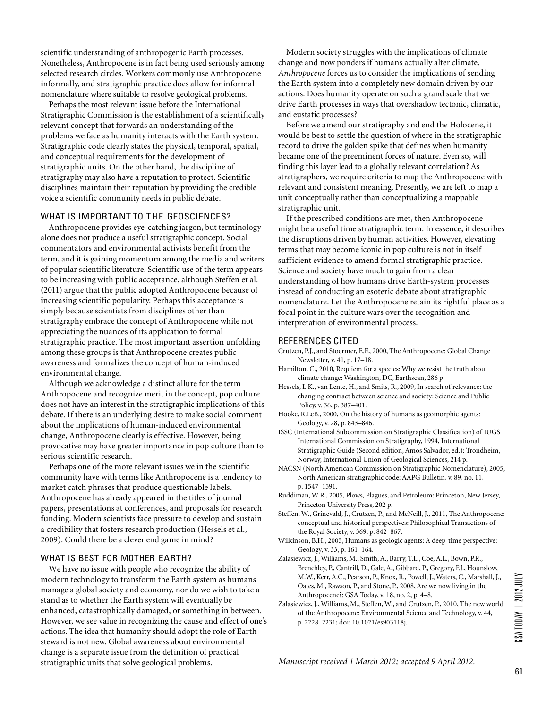scientific understanding of anthropogenic Earth processes. Nonetheless, Anthropocene is in fact being used seriously among selected research circles. Workers commonly use Anthropocene informally, and stratigraphic practice does allow for informal nomenclature where suitable to resolve geological problems.

Perhaps the most relevant issue before the International Stratigraphic Commission is the establishment of a scientifically relevant concept that forwards an understanding of the problems we face as humanity interacts with the Earth system. Stratigraphic code clearly states the physical, temporal, spatial, and conceptual requirements for the development of stratigraphic units. On the other hand, the discipline of stratigraphy may also have a reputation to protect. Scientific disciplines maintain their reputation by providing the credible voice a scientific community needs in public debate.

### WHAT IS IMPORTANT TO THE GEOSCIENCES?

Anthropocene provides eye-catching jargon, but terminology alone does not produce a useful stratigraphic concept. Social commentators and environmental activists benefit from the term, and it is gaining momentum among the media and writers of popular scientific literature. Scientific use of the term appears to be increasing with public acceptance, although Steffen et al. (2011) argue that the public adopted Anthropocene because of increasing scientific popularity. Perhaps this acceptance is simply because scientists from disciplines other than stratigraphy embrace the concept of Anthropocene while not appreciating the nuances of its application to formal stratigraphic practice. The most important assertion unfolding among these groups is that Anthropocene creates public awareness and formalizes the concept of human-induced environmental change.

Although we acknowledge a distinct allure for the term Anthropocene and recognize merit in the concept, pop culture does not have an interest in the stratigraphic implications of this debate. If there is an underlying desire to make social comment about the implications of human-induced environmental change, Anthropocene clearly is effective. However, being provocative may have greater importance in pop culture than to serious scientific research.

Perhaps one of the more relevant issues we in the scientific community have with terms like Anthropocene is a tendency to market catch phrases that produce questionable labels. Anthropocene has already appeared in the titles of journal papers, presentations at conferences, and proposals for research funding. Modern scientists face pressure to develop and sustain a credibility that fosters research production (Hessels et al., 2009). Could there be a clever end game in mind?

### WHAT IS BEST FOR MOTHER EARTH?

We have no issue with people who recognize the ability of modern technology to transform the Earth system as humans manage a global society and economy, nor do we wish to take a stand as to whether the Earth system will eventually be enhanced, catastrophically damaged, or something in between. However, we see value in recognizing the cause and effect of one's actions. The idea that humanity should adopt the role of Earth steward is not new. Global awareness about environmental change is a separate issue from the definition of practical stratigraphic units that solve geological problems.

Modern society struggles with the implications of climate change and now ponders if humans actually alter climate. *Anthropocene* forces us to consider the implications of sending the Earth system into a completely new domain driven by our actions. Does humanity operate on such a grand scale that we drive Earth processes in ways that overshadow tectonic, climatic, and eustatic processes?

Before we amend our stratigraphy and end the Holocene, it would be best to settle the question of where in the stratigraphic record to drive the golden spike that defines when humanity became one of the preeminent forces of nature. Even so, will finding this layer lead to a globally relevant correlation? As stratigraphers, we require criteria to map the Anthropocene with relevant and consistent meaning. Presently, we are left to map a unit conceptually rather than conceptualizing a mappable stratigraphic unit.

If the prescribed conditions are met, then Anthropocene might be a useful time stratigraphic term. In essence, it describes the disruptions driven by human activities. However, elevating terms that may become iconic in pop culture is not in itself sufficient evidence to amend formal stratigraphic practice. Science and society have much to gain from a clear understanding of how humans drive Earth-system processes instead of conducting an esoteric debate about stratigraphic nomenclature. Let the Anthropocene retain its rightful place as a focal point in the culture wars over the recognition and interpretation of environmental process.

#### REFERENCES CITED

- Crutzen, P.J., and Stoermer, E.F., 2000, The Anthropocene: Global Change Newsletter, v. 41, p. 17–18.
- Hamilton, C., 2010, Requiem for a species: Why we resist the truth about climate change: Washington, DC, Earthscan, 286 p.
- Hessels, L.K., van Lente, H., and Smits, R., 2009, In search of relevance: the changing contract between science and society: Science and Public Policy, v. 36, p. 387–401.
- Hooke, R.LeB., 2000, On the history of humans as geomorphic agents: Geology, v. 28, p. 843–846.
- ISSC (International Subcommission on Stratigraphic Classification) of IUGS International Commission on Stratigraphy, 1994, International Stratigraphic Guide (Second edition, Amos Salvador, ed.): Trondheim, Norway, International Union of Geological Sciences, 214 p.
- NACSN (North American Commission on Stratigraphic Nomenclature), 2005, North American stratigraphic code: AAPG Bulletin, v. 89, no. 11, p. 1547–1591.
- Ruddiman, W.R., 2005, Plows, Plagues, and Petroleum: Princeton, New Jersey, Princeton University Press, 202 p.
- Steffen, W., Grinevald, J., Crutzen, P., and McNeill, J., 2011, The Anthropocene: conceptual and historical perspectives: Philosophical Transactions of the Royal Society, v. 369, p. 842–867.
- Wilkinson, B.H., 2005, Humans as geologic agents: A deep-time perspective: Geology, v. 33, p. 161–164.
- Zalasiewicz, J., Williams, M., Smith, A., Barry, T.L., Coe, A.L., Bown, P.R., Brenchley, P., Cantrill, D., Gale, A., Gibbard, P., Gregory, F.J., Hounslow, M.W., Kerr, A.C., Pearson, P., Knox, R., Powell, J., Waters, C., Marshall, J., Oates, M., Rawson, P., and Stone, P., 2008, Are we now living in the Anthropocene?: GSA Today, v. 18, no. 2, p. 4–8.
- Zalasiewicz, J., Williams, M., Steffen, W., and Crutzen, P., 2010, The new world of the Anthropocene: Environmental Science and Technology, v. 44, p. 2228–2231; doi: 10.1021/es903118j.

 $33A$  today |  $2012$  July  $\Xi$  =  $\Xi$  Today  $\Xi$  Today  $\Xi$  1002  $\Xi$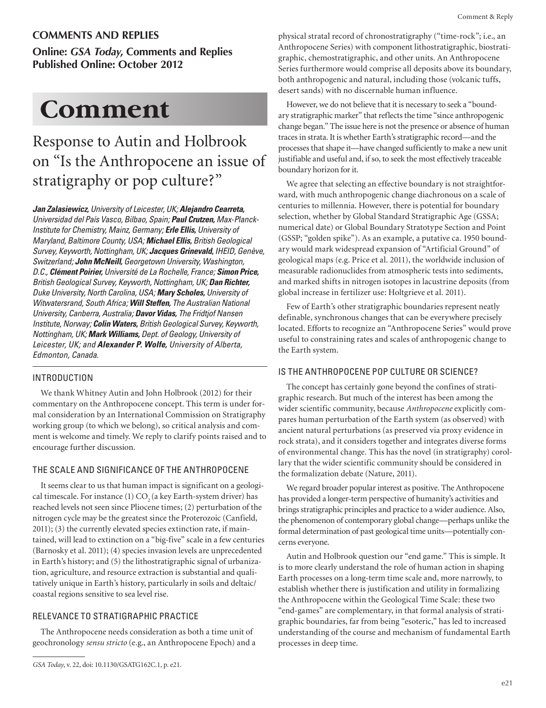### **COMMENTS AND REPLIES**

**Online:** *GSA Today***, Comments and Replies Published Online: October 2012**

## Comment

### Response to Autin and Holbrook on "Is the Anthropocene an issue of stratigraphy or pop culture?"

*Jan Zalasiewicz, University of Leicester, UK; Alejandro Cearreta, Universidad del País Vasco, Bilbao, Spain; Paul Crutzen, Max-Planck-Institute for Chemistry, Mainz, Germany; Erle Ellis, University of Maryland, Baltimore County, USA; Michael Ellis, British Geological Survey, Keyworth, Nottingham, UK; Jacques Grinevald, IHEID, Genève, Switzerland; John McNeill, Georgetown University, Washington, D.C., Clément Poirier, Université de La Rochelle, France; Simon Price, British Geological Survey, Keyworth, Nottingham, UK; Dan Richter, Duke University, North Carolina, USA; Mary Scholes, University of Witwatersrand, South Africa; Will Steffen, The Australian National University, Canberra, Australia; Davor Vidas, The Fridtjof Nansen Institute, Norway; Colin Waters, British Geological Survey, Keyworth, Nottingham, UK; Mark Williams, Dept. of Geology, University of Leicester, UK; and Alexander P. Wolfe, University of Alberta, Edmonton, Canada.*

### INTRODUCTION

We thank Whitney Autin and John Holbrook (2012) for their commentary on the Anthropocene concept. This term is under formal consideration by an International Commission on Stratigraphy working group (to which we belong), so critical analysis and comment is welcome and timely. We reply to clarify points raised and to encourage further discussion.

### THE SCALE AND SIGNIFICANCE OF THE ANTHROPOCENE

It seems clear to us that human impact is significant on a geological timescale. For instance  $(1)$  CO<sub>2</sub> (a key Earth-system driver) has reached levels not seen since Pliocene times; (2) perturbation of the nitrogen cycle may be the greatest since the Proterozoic (Canfield, 2011); (3) the currently elevated species extinction rate, if maintained, will lead to extinction on a "big-five" scale in a few centuries (Barnosky et al. 2011); (4) species invasion levels are unprecedented in Earth's history; and (5) the lithostratigraphic signal of urbanization, agriculture, and resource extraction is substantial and qualitatively unique in Earth's history, particularly in soils and deltaic/ coastal regions sensitive to sea level rise.

### RELEVANCE TO STRATIGRAPHIC PRACTICE

The Anthropocene needs consideration as both a time unit of geochronology *sensu stricto* (e.g., an Anthropocene Epoch) and a physical stratal record of chronostratigraphy ("time-rock"; i.e., an Anthropocene Series) with component lithostratigraphic, biostratigraphic, chemostratigraphic, and other units. An Anthropocene Series furthermore would comprise all deposits above its boundary, both anthropogenic and natural, including those (volcanic tuffs, desert sands) with no discernable human influence.

However, we do not believe that it is necessary to seek a "boundary stratigraphic marker" that reflects the time "since anthropogenic change began." The issue here is not the presence or absence of human traces in strata. It is whether Earth's stratigraphic record—and the processes that shape it—have changed sufficiently to make a new unit justifiable and useful and, if so, to seek the most effectively traceable boundary horizon for it.

We agree that selecting an effective boundary is not straightforward, with much anthropogenic change diachronous on a scale of centuries to millennia. However, there is potential for boundary selection, whether by Global Standard Stratigraphic Age (GSSA; numerical date) or Global Boundary Stratotype Section and Point (GSSP; "golden spike"). As an example, a putative ca. 1950 boundary would mark widespread expansion of "Artificial Ground" of geological maps (e.g. Price et al. 2011), the worldwide inclusion of measurable radionuclides from atmospheric tests into sediments, and marked shifts in nitrogen isotopes in lacustrine deposits (from global increase in fertilizer use: Holtgrieve et al. 2011).

Few of Earth's other stratigraphic boundaries represent neatly definable, synchronous changes that can be everywhere precisely located. Efforts to recognize an "Anthropocene Series" would prove useful to constraining rates and scales of anthropogenic change to the Earth system.

### IS THE ANTHROPOCENE POP CULTURE OR SCIENCE?

The concept has certainly gone beyond the confines of stratigraphic research. But much of the interest has been among the wider scientific community, because *Anthropocene* explicitly compares human perturbation of the Earth system (as observed) with ancient natural perturbations (as preserved via proxy evidence in rock strata), and it considers together and integrates diverse forms of environmental change. This has the novel (in stratigraphy) corollary that the wider scientific community should be considered in the formalization debate (Nature, 2011).

We regard broader popular interest as positive. The Anthropocene has provided a longer-term perspective of humanity's activities and brings stratigraphic principles and practice to a wider audience. Also, the phenomenon of contemporary global change—perhaps unlike the formal determination of past geological time units—potentially concerns everyone.

Autin and Holbrook question our "end game." This is simple. It is to more clearly understand the role of human action in shaping Earth processes on a long-term time scale and, more narrowly, to establish whether there is justification and utility in formalizing the Anthropocene within the Geological Time Scale: these two "end-games" are complementary, in that formal analysis of stratigraphic boundaries, far from being "esoteric," has led to increased understanding of the course and mechanism of fundamental Earth processes in deep time.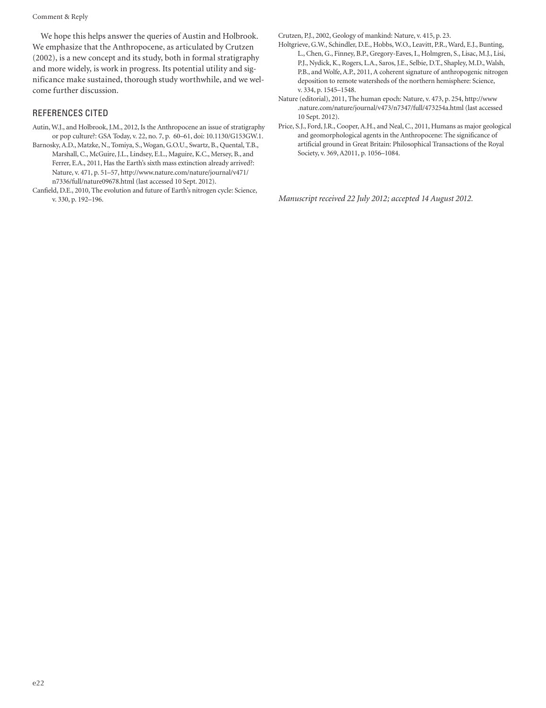Comment & Reply

We hope this helps answer the queries of Austin and Holbrook. We emphasize that the Anthropocene, as articulated by Crutzen (2002), is a new concept and its study, both in formal stratigraphy and more widely, is work in progress. Its potential utility and significance make sustained, thorough study worthwhile, and we welcome further discussion.

### REFERENCES CITED

Autin, W.J., and Holbrook, J.M., 2012, Is the Anthropocene an issue of stratigraphy or pop culture?: GSA Today, v. 22, no. 7, p. 60–61, doi: 10.1130/G153GW.1.

Barnosky, A.D., Matzke, N., Tomiya, S., Wogan, G.O.U., Swartz, B., Quental, T.B., Marshall, C., McGuire, J.L., Lindsey, E.L., Maguire, K.C., Mersey, B., and Ferrer, E.A., 2011, Has the Earth's sixth mass extinction already arrived?: Nature, v. 471, p. 51–57, http://www.nature.com/nature/journal/v471/ n7336/full/nature09678.html (last accessed 10 Sept. 2012).

Canfield, D.E., 2010, The evolution and future of Earth's nitrogen cycle: Science, v. 330, p. 192–196.

Crutzen, P.J., 2002, Geology of mankind: Nature, v. 415, p. 23.

- Holtgrieve, G.W., Schindler, D.E., Hobbs, W.O., Leavitt, P.R., Ward, E.J., Bunting, L., Chen, G., Finney, B.P., Gregory-Eaves, I., Holmgren, S., Lisac, M.J., Lisi, P.J., Nydick, K., Rogers, L.A., Saros, J.E., Selbie, D.T., Shapley, M.D., Walsh, P.B., and Wolfe, A.P., 2011, A coherent signature of anthropogenic nitrogen deposition to remote watersheds of the northern hemisphere: Science, v. 334, p. 1545–1548.
- Nature (editorial), 2011, The human epoch: Nature, v. 473, p. 254, http://www .nature.com/nature/journal/v473/n7347/full/473254a.html (last accessed 10 Sept. 2012).
- Price, S.J., Ford, J.R., Cooper, A.H., and Neal, C., 2011, Humans as major geological and geomorphological agents in the Anthropocene: The significance of artificial ground in Great Britain: Philosophical Transactions of the Royal Society, v. 369, A2011, p. 1056–1084.

*Manuscript received 22 July 2012; accepted 14 August 2012.*